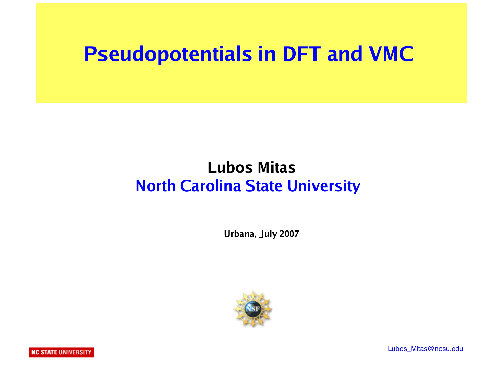#### **Pseudopotentials in DFT and VMC**

#### **Lubos Mitas North Carolina State University**

 **Urbana, July 2007**



Lubos\_Mitas@ncsu.edu

**NC STATE UNIVERSITY**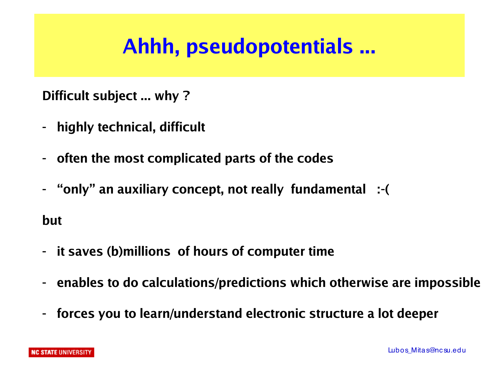# **Ahhh, pseudopotentials ...**

**Difficult subject ... why ?**

- **highly technical, difficult**
- **often the most complicated parts of the codes**
- **"only" an auxiliary concept, not really fundamental :-(**

**but** 

- **it saves (b)millions of hours of computer time**
- **enables to do calculations/predictions which otherwise are impossible**
- **forces you to learn/understand electronic structure a lot deeper**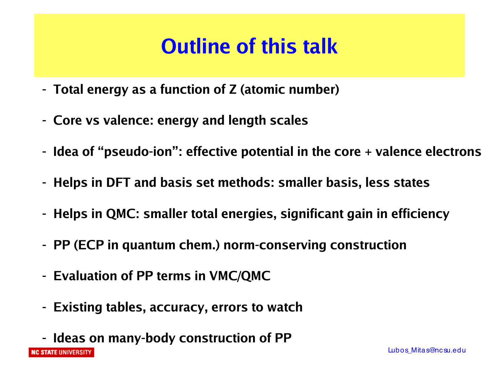# **Outline of this talk**

- **Total energy as a function of Z (atomic number)**
- **Core vs valence: energy and length scales**
- **Idea of "pseudo-ion": effective potential in the core + valence electrons**
- **Helps in DFT and basis set methods: smaller basis, less states**
- **Helps in QMC: smaller total energies, significant gain in efficiency**
- **PP (ECP in quantum chem.) norm-conserving construction**
- **Evaluation of PP terms in VMC/QMC**
- **Existing tables, accuracy, errors to watch**
- **Ideas on many-body construction of PP**

**NC STATE UNIVERSITY**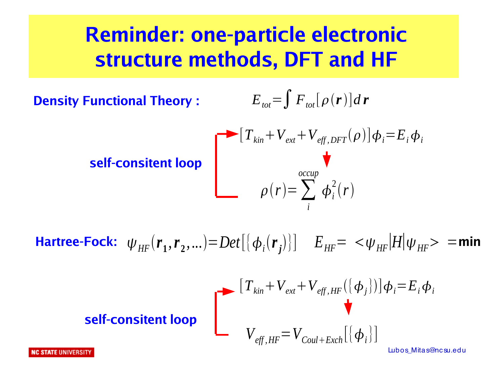#### **Reminder: one-particle electronic structure methods, DFT and HF**

**Density Functional Theory :**

$$
E_{\text{tot}} = \int F_{\text{tot}}[\rho(\mathbf{r})]d\mathbf{r}
$$

**self-consitent lo** 

$$
\begin{bmatrix}\nT_{kin} + V_{ext} + V_{eff, DFT}(\rho)]\phi_i = E_i \phi_i \\
\rho(r) = \sum_i^{occup} \phi_i^2(r)\n\end{bmatrix}
$$

 $\bm{H}$ artree-Fock:  $\psi_{HF}(\bm{r}_1,\bm{r}_2,...) {=} Det[\{\bm{\phi}_i(\bm{r}_j)\}]$   $E_{HF} = \langle \psi_{HF} | H |\psi_{HF} \rangle$  =min

$$
\begin{array}{c}\n\begin{bmatrix}\nT_{kin} + V_{ext} + V_{eff, HF}(\{\phi_j\})\n\end{bmatrix}\phi_i = E_i \phi_i \\
V_{eff, HF} = V_{Coul + Exch}[\{\phi_i\}]\n\end{array}
$$

Lubos\_Mitas@nc su.edu

**NC STATE UNIVERSITY**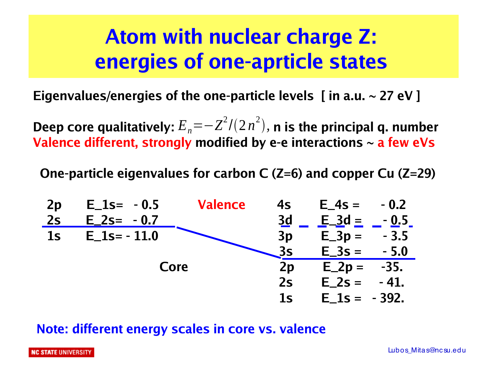### **Atom with nuclear charge Z: energies of one-aprticle states**

**Eigenvalues/energies of the one-particle levels [ in a.u. ~ 27 eV ]**

Deep core qualitatively:  $E_{\scriptscriptstyle n}$   $\!=$   $\! \!Z^2/(2\,n^2)$ , n is the principal q. number **Valence different, strongly modified by e-e interactions ~ a few eVs**

**One-particle eigenvalues for carbon C (Z=6) and copper Cu (Z=29)**



#### **Note: different energy scales in core vs. valence**

**NC STATE UNIVERSITY**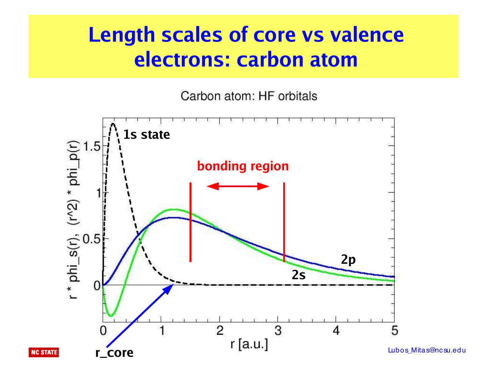#### **Length scales of core vs valence electrons: carbon atom**

Carbon atom: HF orbitals



Lubos\_Mitas@nc su.edu

**NC STATE**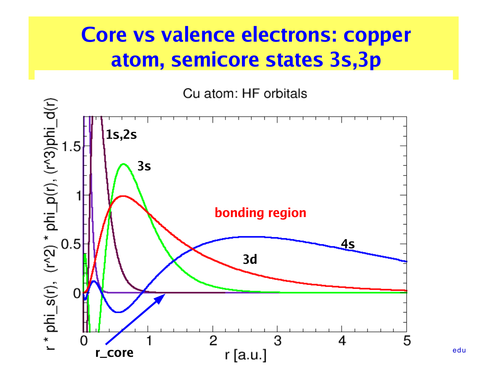#### **Core vs valence electrons: copper atom, semicore states 3s,3p**

Cu atom: HF orbitals



edu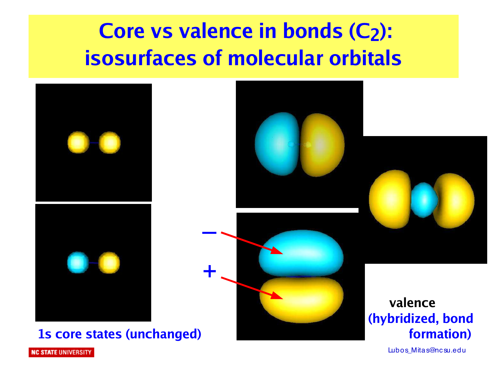# **Core vs valence in bonds (C2): isosurfaces of molecular orbitals**



**1s core states (unchanged) and in the states (unchanged) formation**)



Lubos\_Mitas@nc su.edu

**NC STATE UNIVERSITY**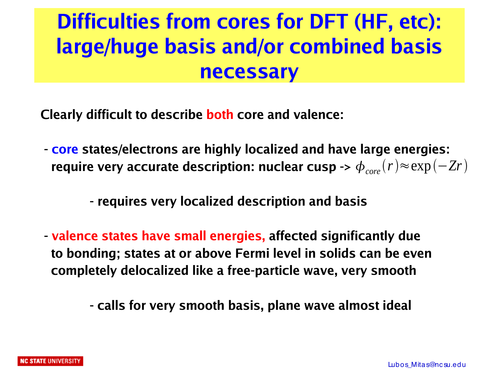# **Difficulties from cores for DFT (HF, etc): large/huge basis and/or combined basis necessary**

**Clearly difficult to describe both core and valence:**

**- core states/electrons are highly localized and have large energies:**  $r$  **require** very accurate description: nuclear cusp ->  $\phi_{\mathit{core}}(r)$   $\approx$   $\exp(-Zr)$ 

#### **- requires very localized description and basis**

**- valence states have small energies, affected significantly due to bonding; states at or above Fermi level in solids can be even completely delocalized like a free-particle wave, very smooth**

 **- calls for very smooth basis, plane wave almost ideal**

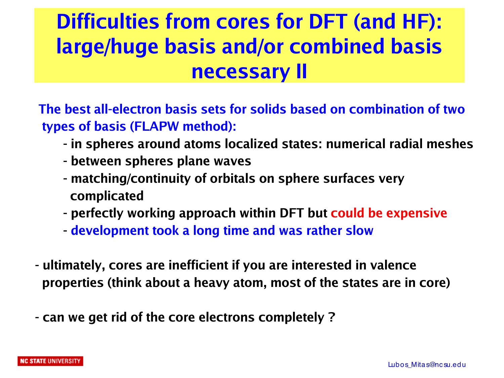# **Difficulties from cores for DFT (and HF): large/huge basis and/or combined basis necessary II**

**The best all-electron basis sets for solids based on combination of two types of basis (FLAPW method):** 

- **- in spheres around atoms localized states: numerical radial meshes**
- **- between spheres plane waves**
- **- matching/continuity of orbitals on sphere surfaces very complicated**
- **- perfectly working approach within DFT but could be expensive**
- **- development took a long time and was rather slow**
- **ultimately, cores are inefficient if you are interested in valence properties (think about a heavy atom, most of the states are in core)**
- **can we get rid of the core electrons completely ?**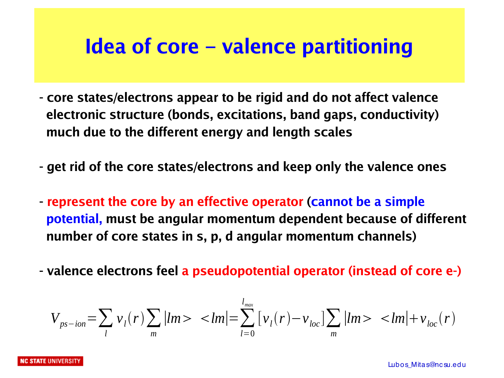#### **Idea of core – valence partitioning**

- **core states/electrons appear to be rigid and do not affect valence electronic structure (bonds, excitations, band gaps, conductivity) much due to the different energy and length scales**
- **get rid of the core states/electrons and keep only the valence ones**
- **represent the core by an effective operator (cannot be a simple potential, must be angular momentum dependent because of different number of core states in s, p, d angular momentum channels)**
- **valence electrons feel a pseudopotential operator (instead of core e-)**

$$
V_{ps-ion} = \sum_{l} v_{l}(r) \sum_{m} |lm \rangle \langle lm| = \sum_{l=0}^{l_{max}} [v_{l}(r) - v_{loc}] \sum_{m} |lm \rangle \langle lm| + v_{loc}(r)
$$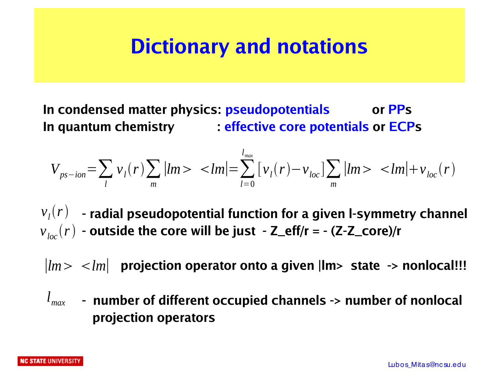#### **Dictionary and notations**

**In condensed matter physics: pseudopotentials or PPs In quantum chemistry : effective core potentials or ECPs**

$$
V_{ps-ion} = \sum_{l} v_{l}(r) \sum_{m} |lm\rangle \langle lm| = \sum_{l=0}^{l_{max}} [v_{l}(r) - v_{loc}] \sum_{m} |lm\rangle \langle lm| + v_{loc}(r)
$$

 $v_{l}(r)$   $\,$  - radial pseudopotential function for a given I-symmetry channel  $v_{\mathit{loc}}(r)$  - outside the core will be just  $-$  Z\_eff/r = - (Z-Z\_core)/r

 $\vert lm \rangle \langle lm \vert$  projection operator onto a given  $\vert lm \rangle$  state  $\vert$  > nonlocal!!!

 **- number of different occupied channels -> number of nonlocal** *lmax* **projection operators**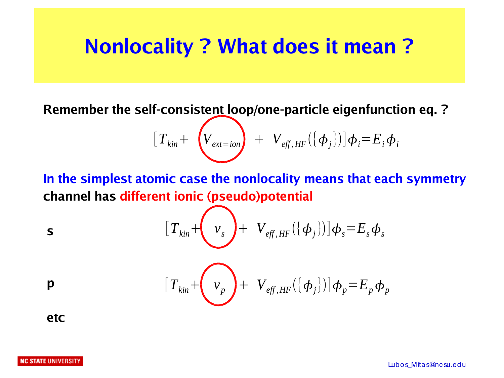#### **Nonlocality ? What does it mean ?**

**Remember the self-consistent loop/one-particle eigenfunction eq. ?**

$$
\left[T_{kin} + \left(V_{ext=ion}\right) + V_{eff, HF}(\{\phi_j\})\right]\phi_i = E_i \phi_i
$$

**In the simplest atomic case the nonlocality means that each symmetry channel has different ionic (pseudo)potential**

$$
[T_{kin} + \left(v_s\right) + V_{eff, HF}(\{\phi_j\})]\phi_s = E_s \phi_s
$$

$$
\left[T_{kin}+\left(v_{p}\right)+V_{eff,HF}(\{\phi_{j}\})\right]\phi_{p}=E_{p}\phi_{p}
$$

**etc**

**s**

**p**

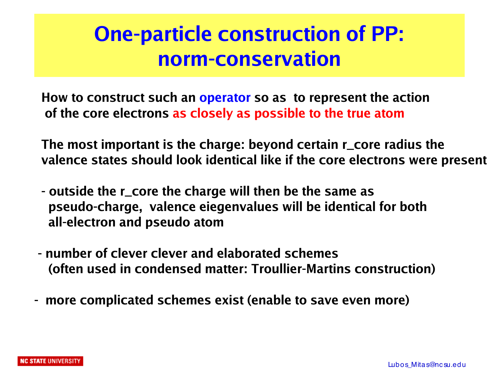#### **One-particle construction of PP: norm-conservation**

**How to construct such an operator so as to represent the action of the core electrons as closely as possible to the true atom**

**The most important is the charge: beyond certain r\_core radius the valence states should look identical like if the core electrons were present** 

- **outside the r\_core the charge will then be the same as pseudo-charge, valence eiegenvalues will be identical for both all-electron and pseudo atom**
- **number of clever clever and elaborated schemes (often used in condensed matter: Troullier-Martins construction)**
- **more complicated schemes exist (enable to save even more)**

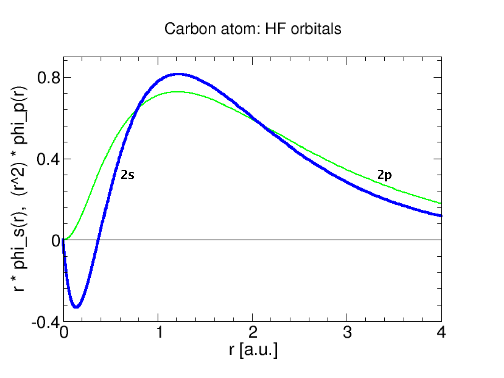#### Carbon atom: HF orbitals

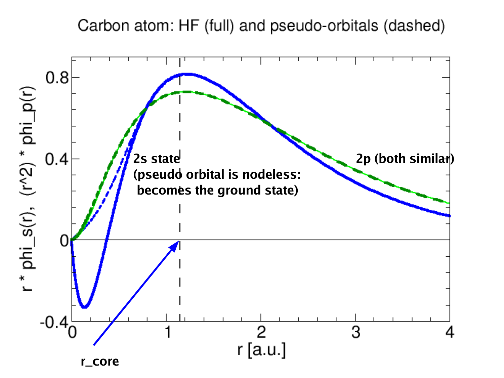Carbon atom: HF (full) and pseudo-orbitals (dashed)

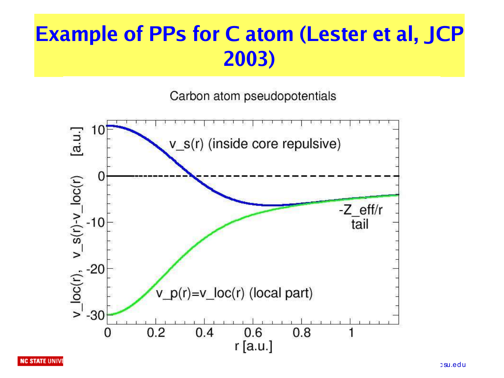# **Example of PPs for C atom (Lester et al, JCP 2003)**

Carbon atom pseudopotentials



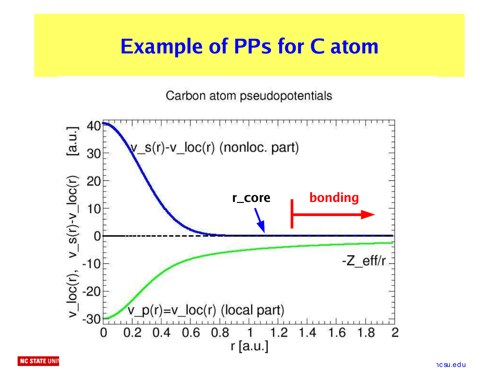#### **Example of PPs for C atom**

Carbon atom pseudopotentials

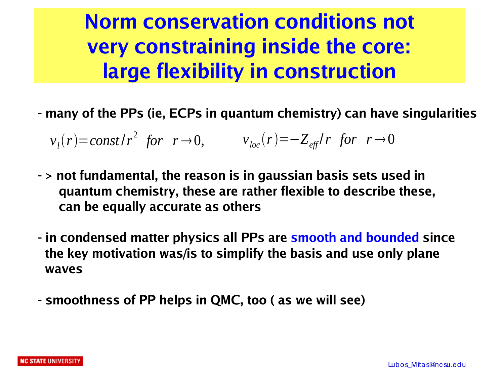# **Norm conservation conditions not very constraining inside the core: large flexibility in construction**

**- many of the PPs (ie, ECPs in quantum chemistry) can have singularities**

 $v_l(r) = const/r^2$  for  $r \to 0$ ,  $v_{loc}(r) = -Z_{eff}/r$  for  $r \to 0$ 

- **> not fundamental, the reason is in gaussian basis sets used in quantum chemistry, these are rather flexible to describe these, can be equally accurate as others**
- **in condensed matter physics all PPs are smooth and bounded since the key motivation was/is to simplify the basis and use only plane waves**
- **smoothness of PP helps in QMC, too ( as we will see)**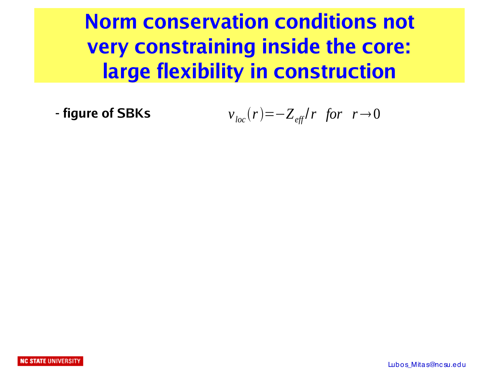**Norm conservation conditions not very constraining inside the core: large flexibility in construction**

**Figure of SBKs** 
$$
v_{loc}(r) = -Z_{\text{eff}}/r
$$
 for  $r \rightarrow 0$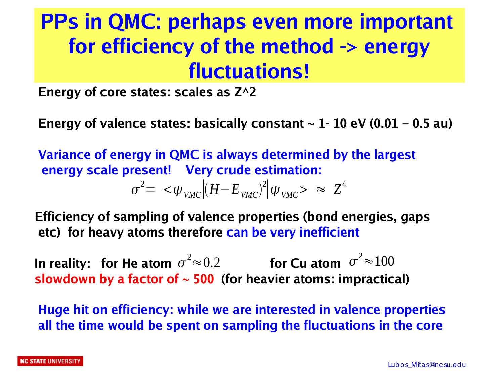## **PPs in QMC: perhaps even more important for efficiency of the method -> energy fluctuations!**

**Energy of core states: scales as Z^2**

**Energy of valence states: basically constant**  $\sim$  **1- 10 eV (0.01 – 0.5 au)** 

**Variance of energy in QMC is always determined by the largest energy scale present! Very crude estimation:**

$$
\sigma^2 = \langle \psi_{VMC} | (H - E_{VMC})^2 | \psi_{VMC} \rangle \approx Z^4
$$

**Efficiency of sampling of valence properties (bond energies, gaps etc) for heavy atoms therefore can be very inefficient**

In reality:  $\,$  for He atom  $\, \sigma^2 \!\approx\! 0.2 \qquad \qquad$  for Cu atom  $\, \sigma^2 \!\approx\! 100$ **slowdown by a factor of ~ 500 (for heavier atoms: impractical)**

**Huge hit on efficiency: while we are interested in valence properties all the time would be spent on sampling the fluctuations in the core**

#### **NC STATE** UNIVERSIT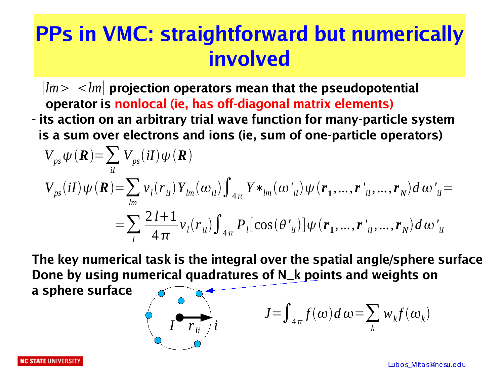#### **PPs in VMC: straightforward but numerically involved**

- $\vert lm \rangle$   $\langle lm \vert$  projection operators mean that the pseudopotential  **operator is nonlocal (ie, has off-diagonal matrix elements)**
- **its action on an arbitrary trial wave function for many-particle system is a sum over electrons and ions (ie, sum of one-particle operators)**

$$
V_{ps} \psi(\mathbf{R}) = \sum_{il} V_{ps}(il) \psi(\mathbf{R})
$$
  
\n
$$
V_{ps}(il) \psi(\mathbf{R}) = \sum_{lm} v_{l}(r_{il}) Y_{lm}(\omega_{il}) \int_{4\pi} Y *_{lm}(\omega'_{il}) \psi(r_{1}, ..., r'_{il}, ..., r_{N}) d\omega'_{il} =
$$
  
\n
$$
= \sum_{l} \frac{2 l + 1}{4\pi} v_{l}(r_{il}) \int_{4\pi} P_{l} [\cos(\theta'_{il})] \psi(r_{1}, ..., r'_{il}, ..., r_{N}) d\omega'_{il}
$$

**The key numerical task is the integral over the spatial angle/sphere surface Done by using numerical quadratures of N\_k points and weights on**

**a sphere surface**

$$
\left(\begin{array}{c}\n\bullet \\
\bullet \\
\bullet \\
\bullet\n\end{array}\right)
$$

$$
J = \int_{4\pi} f(\omega) d\omega = \sum_{k} w_k f(\omega_k)
$$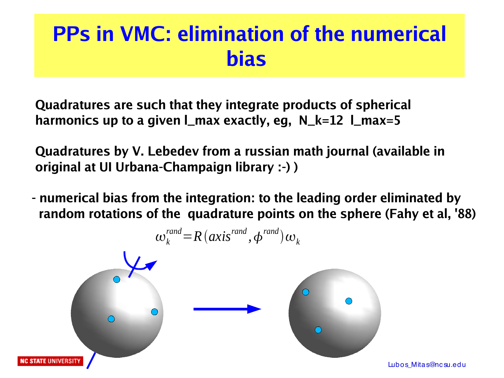#### **PPs in VMC: elimination of the numerical bias**

 **Quadratures are such that they integrate products of spherical harmonics up to a given l\_max exactly, eg, N\_k=12 l\_max=5**

 **Quadratures by V. Lebedev from a russian math journal (available in original at UI Urbana-Champaign library :-) )**

**- numerical bias from the integration: to the leading order eliminated by random rotations of the quadrature points on the sphere (Fahy et al, '88)** 

$$
\omega_k^{rand} = R(axis^{rand}, \phi^{rand})\omega_k
$$



Lubos\_Mitas@nc su.edu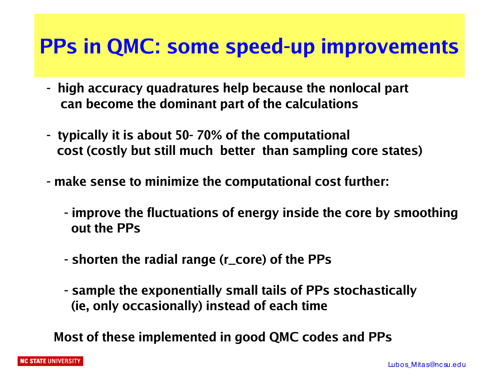#### **PPs in QMC: some speed-up improvements**

- **high accuracy quadratures help because the nonlocal part can become the dominant part of the calculations**
- **typically it is about 50- 70% of the computational cost (costly but still much better than sampling core states)**
- **- make sense to minimize the computational cost further:**
	- **improve the fluctuations of energy inside the core by smoothing out the PPs**
	- **shorten the radial range (r\_core) of the PPs**
	- **sample the exponentially small tails of PPs stochastically (ie, only occasionally) instead of each time**

 **Most of these implemented in good QMC codes and PPs**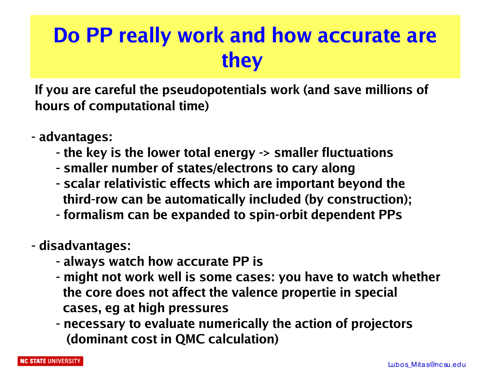#### **Do PP really work and how accurate are they**

**If you are careful the pseudopotentials work (and save millions of hours of computational time)**

- **advantages:** 
	- **- the key is the lower total energy -> smaller fluctuations**
	- **- smaller number of states/electrons to cary along**
	- **- scalar relativistic effects which are important beyond the third-row can be automatically included (by construction);**
	- **- formalism can be expanded to spin-orbit dependent PPs**
- **disadvantages:**
	- **- always watch how accurate PP is**
	- **- might not work well is some cases: you have to watch whether the core does not affect the valence propertie in special cases, eg at high pressures**
	- **- necessary to evaluate numerically the action of projectors (dominant cost in QMC calculation)**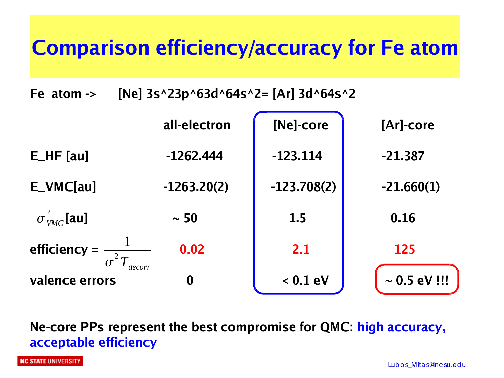## **Comparison efficiency/accuracy for Fe atom**

**Fe atom -> [Ne] 3s^23p^63d^64s^2= [Ar] 3d^64s^2**

|                          | all-electron     | [Ne]-core     | [Ar]-core         |
|--------------------------|------------------|---------------|-------------------|
| $E_HF$ [au]              | $-1262.444$      | $-123.114$    | $-21.387$         |
| $E_VMC[au]$              | $-1263.20(2)$    | $-123.708(2)$ | $-21.660(1)$      |
| $\sigma_{VMC}^2$ [au]    | $\sim 50$        | 1.5           | 0.16              |
| efficiency $=$           | 0.02             | 2.1           | 125               |
| decorr<br>valence errors | $\boldsymbol{0}$ | $< 0.1$ eV    | $\sim 0.5$ eV !!! |

**Ne-core PPs represent the best compromise for QMC: high accuracy, acceptable efficiency**

**NC STATE UNIVERSITY**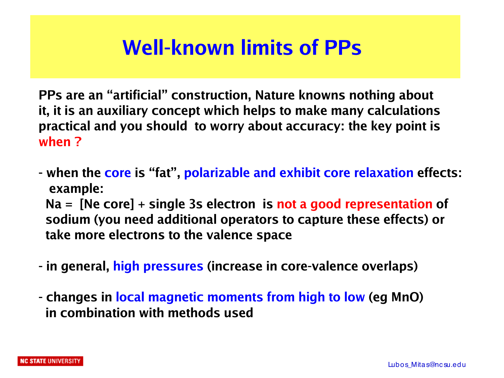#### **Well-known limits of PPs**

**PPs are an "artificial" construction, Nature knowns nothing about it, it is an auxiliary concept which helps to make many calculations practical and you should to worry about accuracy: the key point is when ?**

- **when the core is "fat", polarizable and exhibit core relaxation effects: example: Na = [Ne core] + single 3s electron is not a good representation of sodium (you need additional operators to capture these effects) or take more electrons to the valence space**
- **in general, high pressures (increase in core-valence overlaps)**
- **changes in local magnetic moments from high to low (eg MnO) in combination with methods used**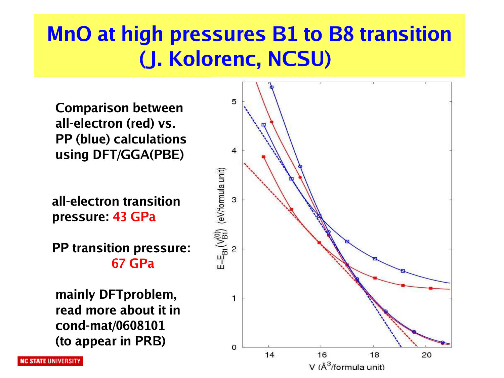# **MnO at high pressures B1 to B8 transition (J. Kolorenc, NCSU)**

 **Comparison between all-electron (red) vs. PP (blue) calculations using DFT/GGA(PBE)**

**all-electron transition pressure: 43 GPa**

**PP transition pressure: 67 GPa**

 **mainly DFTproblem, read more about it in cond-mat/0608101 (to appear in PRB)** 

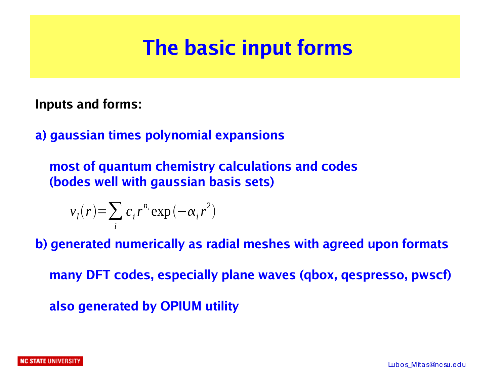#### **The basic input forms**

**Inputs and forms:**

**a) gaussian times polynomial expansions**

 **most of quantum chemistry calculations and codes (bodes well with gaussian basis sets)**

$$
v_i(r) = \sum_i c_i r^{n_i} \exp(-\alpha_i r^2)
$$

**b) generated numerically as radial meshes with agreed upon formats many DFT codes, especially plane waves (qbox, qespresso, pwscf) also generated by OPIUM utility**

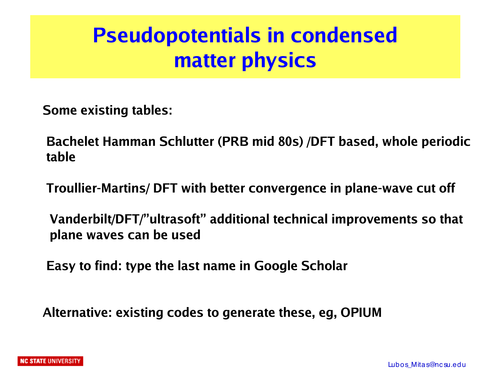# **Pseudopotentials in condensed matter physics**

**Some existing tables:**

**Bachelet Hamman Schlutter (PRB mid 80s) /DFT based, whole periodic table**

**Troullier-Martins/ DFT with better convergence in plane-wave cut off**

 **Vanderbilt/DFT/"ultrasoft" additional technical improvements so that plane waves can be used**

**Easy to find: type the last name in Google Scholar**

**Alternative: existing codes to generate these, eg, OPIUM**

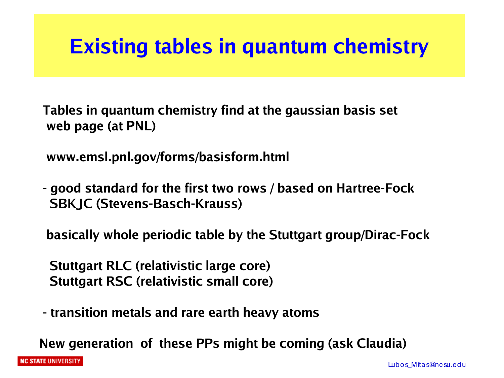#### **Existing tables in quantum chemistry**

**Tables in quantum chemistry find at the gaussian basis set web page (at PNL)**

**www.emsl.pnl.gov/forms/basisform.html**

**- good standard for the first two rows / based on Hartree-Fock SBKJC (Stevens-Basch-Krauss)** 

**basically whole periodic table by the Stuttgart group/Dirac-Fock**

 **Stuttgart RLC (relativistic large core) Stuttgart RSC (relativistic small core)**

**- transition metals and rare earth heavy atoms**

**New generation of these PPs might be coming (ask Claudia)**

**NC STATE UNIVERSITY**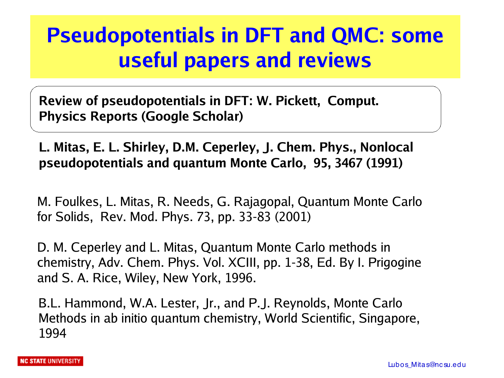#### **Pseudopotentials in DFT and QMC: some useful papers and reviews**

**Review of pseudopotentials in DFT: W. Pickett, Comput. Physics Reports (Google Scholar)**

#### **L. Mitas, E. L. Shirley, D.M. Ceperley, J. Chem. Phys., Nonlocal pseudopotentials and quantum Monte Carlo, 95, 3467 (1991)**

M. Foulkes, L. Mitas, R. Needs, G. Rajagopal, Quantum Monte Carlo for Solids, Rev. Mod. Phys. 73, pp. 33-83 (2001)

D. M. Ceperley and L. Mitas, Quantum Monte Carlo methods in chemistry, Adv. Chem. Phys. Vol. XCIII, pp. 1-38, Ed. By I. Prigogine and S. A. Rice, Wiley, New York, 1996.

B.L. Hammond, W.A. Lester, Jr., and P.J. Reynolds, Monte Carlo Methods in ab initio quantum chemistry, World Scientific, Singapore, 1994

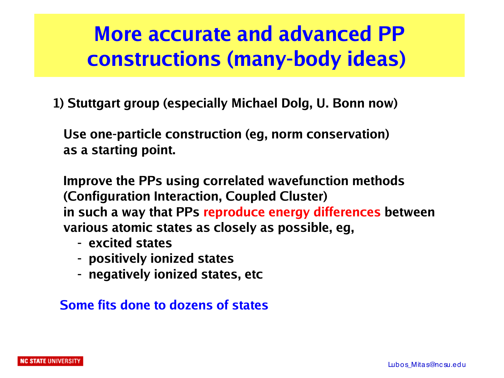#### **More accurate and advanced PP constructions (many-body ideas)**

**1) Stuttgart group (especially Michael Dolg, U. Bonn now)**

 **Use one-particle construction (eg, norm conservation) as a starting point.**

 **Improve the PPs using correlated wavefunction methods (Configuration Interaction, Coupled Cluster) in such a way that PPs reproduce energy differences between various atomic states as closely as possible, eg,**

- **excited states**
- **positively ionized states**
- **negatively ionized states, etc**

**Some fits done to dozens of states**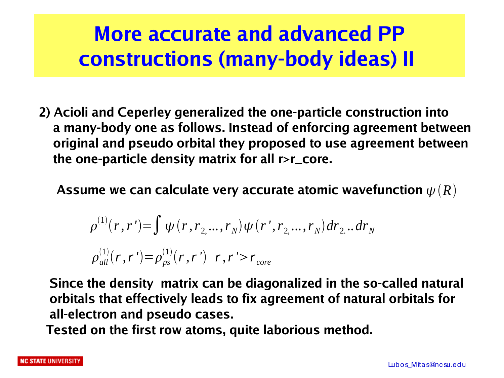# **More accurate and advanced PP constructions (many-body ideas) II**

**2) Acioli and Ceperley generalized the one-particle construction into a many-body one as follows. Instead of enforcing agreement between original and pseudo orbital they proposed to use agreement between the one-particle density matrix for all r>r\_core.**

Assume we can calculate very accurate atomic wavefunction  $\psi\left(R\right)$ 

$$
\rho^{(1)}(r, r') = \int \psi(r, r_2, ..., r_N) \psi(r', r_2, ..., r_N) dr_2 ... dr_N
$$
  

$$
\rho^{(1)}_{all}(r, r') = \rho^{(1)}_{ps}(r, r') \ r, r' > r_{core}
$$

 **Since the density matrix can be diagonalized in the so-called natural orbitals that effectively leads to fix agreement of natural orbitals for all-electron and pseudo cases.**

**Tested on the first row atoms, quite laborious method.**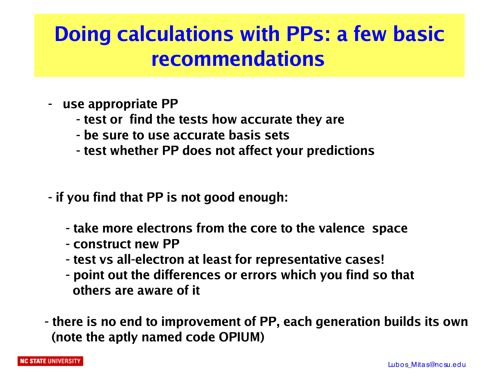# **Doing calculations with PPs: a few basic recommendations**

- **use appropriate PP**
	- **- test or find the tests how accurate they are**
	- **- be sure to use accurate basis sets**
	- **- test whether PP does not affect your predictions**
- **if you find that PP is not good enough:**
	- **take more electrons from the core to the valence space**
	- **construct new PP**
	- **test vs all-electron at least for representative cases!**
	- **point out the differences or errors which you find so that others are aware of it**
- **there is no end to improvement of PP, each generation builds its own (note the aptly named code OPIUM)**